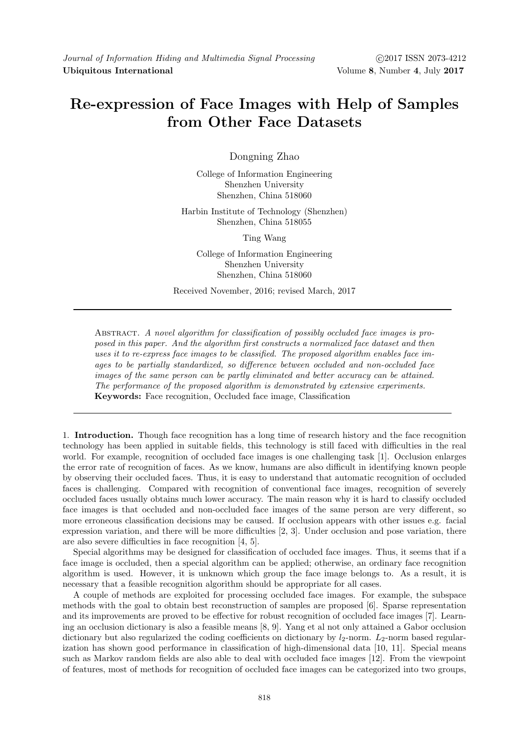## Re-expression of Face Images with Help of Samples from Other Face Datasets

Dongning Zhao

College of Information Engineering Shenzhen University Shenzhen, China 518060

Harbin Institute of Technology (Shenzhen) Shenzhen, China 518055

Ting Wang

College of Information Engineering Shenzhen University Shenzhen, China 518060

Received November, 2016; revised March, 2017

ABSTRACT. A novel algorithm for classification of possibly occluded face images is proposed in this paper. And the algorithm first constructs a normalized face dataset and then uses it to re-express face images to be classified. The proposed algorithm enables face images to be partially standardized, so difference between occluded and non-occluded face images of the same person can be partly eliminated and better accuracy can be attained. The performance of the proposed algorithm is demonstrated by extensive experiments. Keywords: Face recognition, Occluded face image, Classification

1. Introduction. Though face recognition has a long time of research history and the face recognition technology has been applied in suitable fields, this technology is still faced with difficulties in the real world. For example, recognition of occluded face images is one challenging task [1]. Occlusion enlarges the error rate of recognition of faces. As we know, humans are also difficult in identifying known people by observing their occluded faces. Thus, it is easy to understand that automatic recognition of occluded faces is challenging. Compared with recognition of conventional face images, recognition of severely occluded faces usually obtains much lower accuracy. The main reason why it is hard to classify occluded face images is that occluded and non-occluded face images of the same person are very different, so more erroneous classification decisions may be caused. If occlusion appears with other issues e.g. facial expression variation, and there will be more difficulties [2, 3]. Under occlusion and pose variation, there are also severe difficulties in face recognition [4, 5].

Special algorithms may be designed for classification of occluded face images. Thus, it seems that if a face image is occluded, then a special algorithm can be applied; otherwise, an ordinary face recognition algorithm is used. However, it is unknown which group the face image belongs to. As a result, it is necessary that a feasible recognition algorithm should be appropriate for all cases.

A couple of methods are exploited for processing occluded face images. For example, the subspace methods with the goal to obtain best reconstruction of samples are proposed [6]. Sparse representation and its improvements are proved to be effective for robust recognition of occluded face images [7]. Learning an occlusion dictionary is also a feasible means [8, 9]. Yang et al not only attained a Gabor occlusion dictionary but also regularized the coding coefficients on dictionary by  $l_2$ -norm.  $L_2$ -norm based regularization has shown good performance in classification of high-dimensional data [10, 11]. Special means such as Markov random fields are also able to deal with occluded face images [12]. From the viewpoint of features, most of methods for recognition of occluded face images can be categorized into two groups,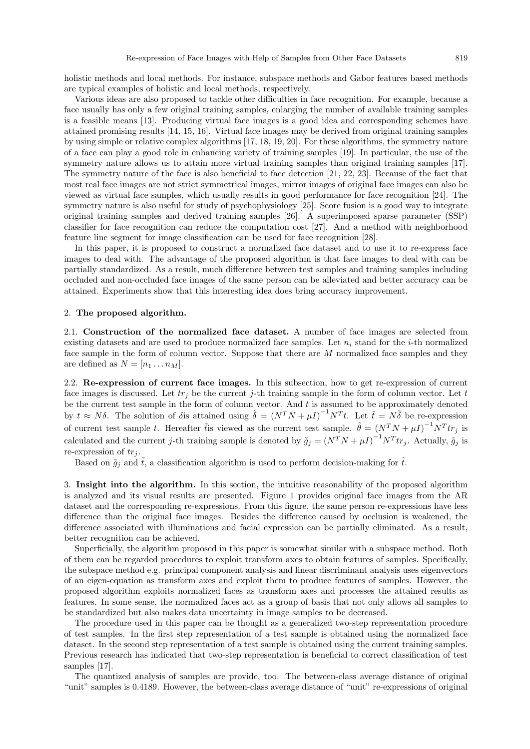holistic methods and local methods. For instance, subspace methods and Gabor features based methods are typical examples of holistic and local methods, respectively.

Various ideas are also proposed to tackle other difficulties in face recognition. For example, because a face usually has only a few original training samples, enlarging the number of available training samples is a feasible means [13]. Producing virtual face images is a good idea and corresponding schemes have attained promising results [14, 15, 16]. Virtual face images may be derived from original training samples by using simple or relative complex algorithms [17, 18, 19, 20]. For these algorithms, the symmetry nature of a face can play a good role in enhancing variety of training samples [19]. In particular, the use of the symmetry nature allows us to attain more virtual training samples than original training samples [17]. The symmetry nature of the face is also beneficial to face detection [21, 22, 23]. Because of the fact that most real face images are not strict symmetrical images, mirror images of original face images can also be viewed as virtual face samples, which usually results in good performance for face recognition [24]. The symmetry nature is also useful for study of psychophysiology [25]. Score fusion is a good way to integrate original training samples and derived training samples [26]. A superimposed sparse parameter (SSP) classifier for face recognition can reduce the computation cost [27]. And a method with neighborhood feature line segment for image classification can be used for face recognition [28].

In this paper, it is proposed to construct a normalized face dataset and to use it to re-express face images to deal with. The advantage of the proposed algorithm is that face images to deal with can be partially standardized. As a result, much difference between test samples and training samples including occluded and non-occluded face images of the same person can be alleviated and better accuracy can be attained. Experiments show that this interesting idea does bring accuracy improvement.

## 2. The proposed algorithm.

2.1. Construction of the normalized face dataset. A number of face images are selected from existing datasets and are used to produce normalized face samples. Let  $n_i$  stand for the *i*-th normalized face sample in the form of column vector. Suppose that there are M normalized face samples and they are defined as  $N = [n_1 \dots n_M].$ 

2.2. Re-expression of current face images. In this subsection, how to get re-expression of current face images is discussed. Let  $tr_j$  be the current j-th training sample in the form of column vector. Let t be the current test sample in the form of column vector. And  $t$  is assumed to be approximately denoted by  $t \approx N\delta$ . The solution of  $\delta$  is attained using  $\tilde{\delta} = (N^T N + \mu I)^{-1} N^T t$ . Let  $\tilde{t} = N\tilde{\delta}$  be re-expression of current test sample t. Hereafter the viewed as the current test sample.  $\tilde{\theta} = (N^T N + \mu I)^{-1} N^T t r_j$  is calculated and the current j-th training sample is denoted by  $\tilde{g}_j = (N^T N + \mu I)^{-1} N^T t r_j$ . Actually,  $\tilde{g}_j$  is re-expression of  $tr_j$ .

Based on  $\tilde{g}_i$  and  $\tilde{t}$ , a classification algorithm is used to perform decision-making for  $\tilde{t}$ .

3. Insight into the algorithm. In this section, the intuitive reasonability of the proposed algorithm is analyzed and its visual results are presented. Figure 1 provides original face images from the AR dataset and the corresponding re-expressions. From this figure, the same person re-expressions have less difference than the original face images. Besides the difference caused by occlusion is weakened, the difference associated with illuminations and facial expression can be partially eliminated. As a result, better recognition can be achieved.

Superficially, the algorithm proposed in this paper is somewhat similar with a subspace method. Both of them can be regarded procedures to exploit transform axes to obtain features of samples. Specifically, the subspace method e.g. principal component analysis and linear discriminant analysis uses eigenvectors of an eigen-equation as transform axes and exploit them to produce features of samples. However, the proposed algorithm exploits normalized faces as transform axes and processes the attained results as features. In some sense, the normalized faces act as a group of basis that not only allows all samples to be standardized but also makes data uncertainty in image samples to be decreased.

The procedure used in this paper can be thought as a generalized two-step representation procedure of test samples. In the first step representation of a test sample is obtained using the normalized face dataset. In the second step representation of a test sample is obtained using the current training samples. Previous research has indicated that two-step representation is beneficial to correct classification of test samples [17].

The quantized analysis of samples are provide, too. The between-class average distance of original "unit" samples is 0.4189. However, the between-class average distance of "unit" re-expressions of original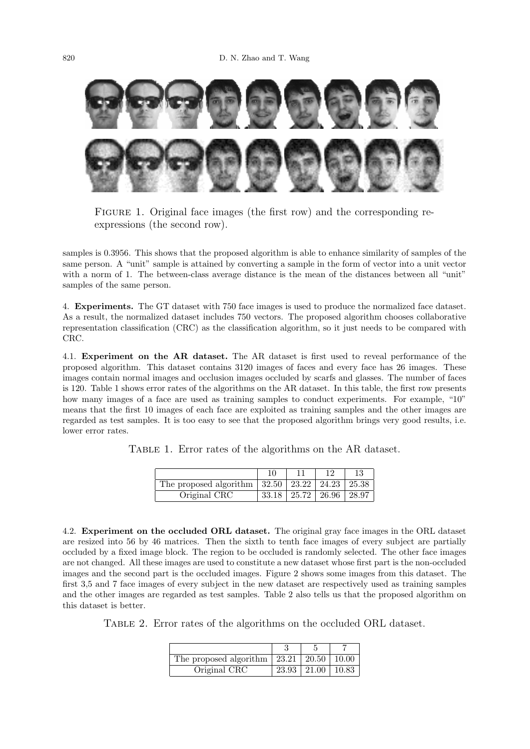

FIGURE 1. Original face images (the first row) and the corresponding reexpressions (the second row).

samples is 0.3956. This shows that the proposed algorithm is able to enhance similarity of samples of the same person. A "unit" sample is attained by converting a sample in the form of vector into a unit vector with a norm of 1. The between-class average distance is the mean of the distances between all "unit"<br>samples of the same person samples of the same person.

4. Experiments: The GT dataset with 750 face images is used to produce the normalized face dataset.<br>As a result, the normalized dataset includes 750 vectors. The proposed algorithm chooses collaborative representation classification (CRC) as the classification algorithm, so it just needs to be compared with  $\alpha_{\rm n}$ 4. Experiments. The GT dataset with 750 face images is used to produce the normalized face dataset. CRC.

4.1. Experiment on the AR dataset. The AR dataset is first used to reveal performance of the proposed algorithm. This dataset contains 3120 mages of faces and every face has 20 mages. These images contain normal images and occlusion images occluded by scarfs and glasses. The number of faces is 120. Table 1 shows error rates of the algorithms on the AR dataset. In this table, the first row presents how many images of a face are used as training samples to conduct experiments. For example, "10"<br>means that the first 10 images of each face are symbited as training samples and the other images are. regarded as test samples. It is too easy to see that the proposed algorithm brings very good results, i.e. lower error rates. proposed algorithm. This dataset contains 3120 images of faces and every face has 26 images. These means that the first 10 images of each face are exploited as training samples and the other images are

TABLE 1. Error rates of the algorithms on the AR dataset.

| The proposed algorithm | $32.50$ 23.22 |       | 24.23 | 25.38 |
|------------------------|---------------|-------|-------|-------|
| Original CRC           | 33.18         | 25.72 | 26.96 | 28.97 |

4.2. Experiment on the occluded ORL dataset. The original gray face images in the ORL dataset are resized into 56 by 46 matrices. Then the sixth to tenth face images of every subject are partially occluded by a fixed image block. The region to be occluded is randomly selected. The other face images are not changed. All these images are used to constitute a new dataset whose first part is the non-occluded images and the second part is the occluded images. Figure 2 shows some images from this dataset. The first 3,5 and 7 face images of every subject in the new dataset are respectively used as training samples and the other images are regarded as test samples. Table 2 also tells us that the proposed algorithm on this dataset is better.

Table 2. Error rates of the algorithms on the occluded ORL dataset.

| The proposed algorithm $\vert 23.21 \vert 20.50 \vert 10.00$ |                             |  |
|--------------------------------------------------------------|-----------------------------|--|
| Original CRC                                                 | $23.93 \pm 21.00 \pm 10.83$ |  |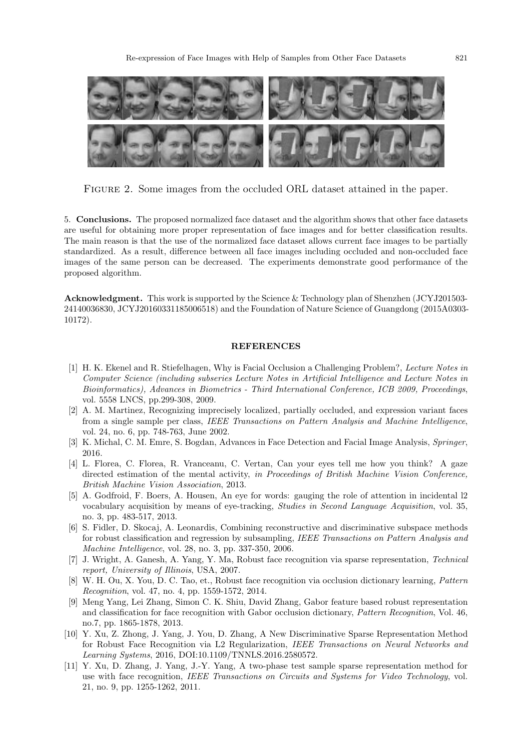

Figure 2. Some images from the occluded ORL dataset attained in the paper.

3. Solidations. The proposed normalized rate dataset and the disordinity shows that other rate datasets The main reason is that the use of the normalized face dataset allows current face images to be partially Interest and CRC 23.93 21.00 1.00 1.00 1.000 1.000 1.000 1.000 1.000 1.000 1.000 1.000 1.000 1.000 1.000 1.000<br>images of the same person can be decreased. The experiments demonstrate good performance of the 5. Conclusions. The proposed normalized face dataset and the algorithm shows that other face datasets standardized. As a result, difference between all face images including occluded and non-occluded face proposed algorithm.

Acknowledgment. This work is supported by the Science & Technology plan of Shenzhen (JCYJ201503- 24140036830, JCYJ20160331185006518) and the Foundation of Nature Science of Guangdong (2015A0303- 10172).

## REFERENCES

- [1] H. K. Ekenel and R. Stiefelhagen, Why is Facial Occlusion a Challenging Problem?, Lecture Notes in Computer Science (including subseries Lecture Notes in Artificial Intelligence and Lecture Notes in Bioinformatics), Advances in Biometrics - Third International Conference, ICB 2009, Proceedings, vol. 5558 LNCS, pp.299-308, 2009.
- [2] A. M. Martinez, Recognizing imprecisely localized, partially occluded, and expression variant faces from a single sample per class, IEEE Transactions on Pattern Analysis and Machine Intelligence, vol. 24, no. 6, pp. 748-763, June 2002.
- [3] K. Michal, C. M. Emre, S. Bogdan, Advances in Face Detection and Facial Image Analysis, Springer, 2016.
- [4] L. Florea, C. Florea, R. Vranceanu, C. Vertan, Can your eyes tell me how you think? A gaze directed estimation of the mental activity, in Proceedings of British Machine Vision Conference, British Machine Vision Association, 2013.
- [5] A. Godfroid, F. Boers, A. Housen, An eye for words: gauging the role of attention in incidental l2 vocabulary acquisition by means of eye-tracking, Studies in Second Language Acquisition, vol. 35, no. 3, pp. 483-517, 2013.
- [6] S. Fidler, D. Skocaj, A. Leonardis, Combining reconstructive and discriminative subspace methods for robust classification and regression by subsampling, IEEE Transactions on Pattern Analysis and Machine Intelligence, vol. 28, no. 3, pp. 337-350, 2006.
- [7] J. Wright, A. Ganesh, A. Yang, Y. Ma, Robust face recognition via sparse representation, Technical report, University of Illinois, USA, 2007.
- [8] W. H. Ou, X. You, D. C. Tao, et., Robust face recognition via occlusion dictionary learning, Pattern Recognition, vol. 47, no. 4, pp. 1559-1572, 2014.
- [9] Meng Yang, Lei Zhang, Simon C. K. Shiu, David Zhang, Gabor feature based robust representation and classification for face recognition with Gabor occlusion dictionary, Pattern Recognition, Vol. 46, no.7, pp. 1865-1878, 2013.
- [10] Y. Xu, Z. Zhong, J. Yang, J. You, D. Zhang, A New Discriminative Sparse Representation Method for Robust Face Recognition via L2 Regularization, IEEE Transactions on Neural Networks and Learning Systems, 2016, DOI:10.1109/TNNLS.2016.2580572.
- [11] Y. Xu, D. Zhang, J. Yang, J.-Y. Yang, A two-phase test sample sparse representation method for use with face recognition, IEEE Transactions on Circuits and Systems for Video Technology, vol. 21, no. 9, pp. 1255-1262, 2011.